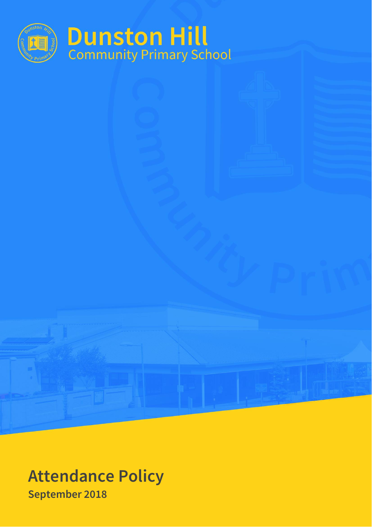

# **Attendance Policy September 2018**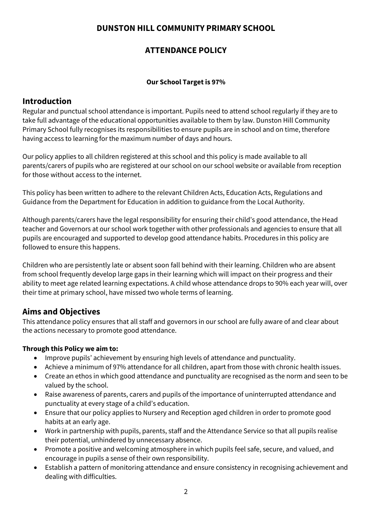# **DUNSTON HILL COMMUNITY PRIMARY SCHOOL**

# **ATTENDANCE POLICY**

## **Our School Target is 97%**

# **Introduction**

Regular and punctual school attendance is important. Pupils need to attend school regularly if they are to take full advantage of the educational opportunities available to them by law. Dunston Hill Community Primary School fully recognises its responsibilities to ensure pupils are in school and on time, therefore having access to learning for the maximum number of days and hours.

Our policy applies to all children registered at this school and this policy is made available to all parents/carers of pupils who are registered at our school on our school website or available from reception for those without access to the internet.

This policy has been written to adhere to the relevant Children Acts, Education Acts, Regulations and Guidance from the Department for Education in addition to guidance from the Local Authority.

Although parents/carers have the legal responsibility for ensuring their child's good attendance, the Head teacher and Governors at our school work together with other professionals and agencies to ensure that all pupils are encouraged and supported to develop good attendance habits. Procedures in this policy are followed to ensure this happens.

Children who are persistently late or absent soon fall behind with their learning. Children who are absent from school frequently develop large gaps in their learning which will impact on their progress and their ability to meet age related learning expectations. A child whose attendance drops to 90% each year will, over their time at primary school, have missed two whole terms of learning.

# **Aims and Objectives**

This attendance policy ensures that all staff and governors in our school are fully aware of and clear about the actions necessary to promote good attendance.

## **Through this Policy we aim to:**

- Improve pupils' achievement by ensuring high levels of attendance and punctuality.
- Achieve a minimum of 97% attendance for all children, apart from those with chronic health issues.
- Create an ethos in which good attendance and punctuality are recognised as the norm and seen to be valued by the school.
- Raise awareness of parents, carers and pupils of the importance of uninterrupted attendance and punctuality at every stage of a child's education.
- Ensure that our policy applies to Nursery and Reception aged children in order to promote good habits at an early age.
- Work in partnership with pupils, parents, staff and the Attendance Service so that all pupils realise their potential, unhindered by unnecessary absence.
- Promote a positive and welcoming atmosphere in which pupils feel safe, secure, and valued, and encourage in pupils a sense of their own responsibility.
- Establish a pattern of monitoring attendance and ensure consistency in recognising achievement and dealing with difficulties.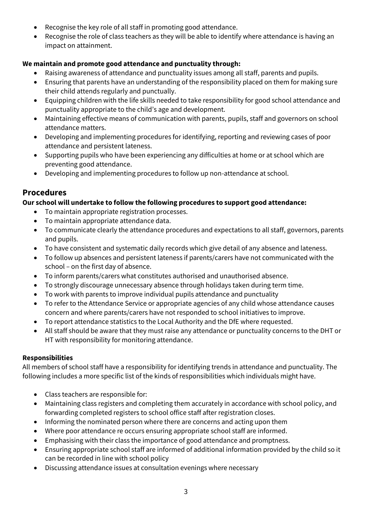- Recognise the key role of all staff in promoting good attendance.
- Recognise the role of class teachers as they will be able to identify where attendance is having an impact on attainment.

## **We maintain and promote good attendance and punctuality through:**

- Raising awareness of attendance and punctuality issues among all staff, parents and pupils.
- Ensuring that parents have an understanding of the responsibility placed on them for making sure their child attends regularly and punctually.
- Equipping children with the life skills needed to take responsibility for good school attendance and punctuality appropriate to the child's age and development.
- Maintaining effective means of communication with parents, pupils, staff and governors on school attendance matters.
- Developing and implementing procedures for identifying, reporting and reviewing cases of poor attendance and persistent lateness.
- Supporting pupils who have been experiencing any difficulties at home or at school which are preventing good attendance.
- Developing and implementing procedures to follow up non-attendance at school.

# **Procedures**

## **Our school will undertake to follow the following procedures to support good attendance:**

- To maintain appropriate registration processes.
- To maintain appropriate attendance data.
- To communicate clearly the attendance procedures and expectations to all staff, governors, parents and pupils.
- To have consistent and systematic daily records which give detail of any absence and lateness.
- To follow up absences and persistent lateness if parents/carers have not communicated with the school – on the first day of absence.
- To inform parents/carers what constitutes authorised and unauthorised absence.
- To strongly discourage unnecessary absence through holidays taken during term time.
- To work with parents to improve individual pupils attendance and punctuality
- To refer to the Attendance Service or appropriate agencies of any child whose attendance causes concern and where parents/carers have not responded to school initiatives to improve.
- To report attendance statistics to the Local Authority and the DfE where requested.
- All staff should be aware that they must raise any attendance or punctuality concerns to the DHT or HT with responsibility for monitoring attendance.

## **Responsibilities**

All members of school staff have a responsibility for identifying trends in attendance and punctuality. The following includes a more specific list of the kinds of responsibilities which individuals might have.

- Class teachers are responsible for:
- Maintaining class registers and completing them accurately in accordance with school policy, and forwarding completed registers to school office staff after registration closes.
- Informing the nominated person where there are concerns and acting upon them
- Where poor attendance re occurs ensuring appropriate school staff are informed.
- Emphasising with their class the importance of good attendance and promptness.
- Ensuring appropriate school staff are informed of additional information provided by the child so it can be recorded in line with school policy
- Discussing attendance issues at consultation evenings where necessary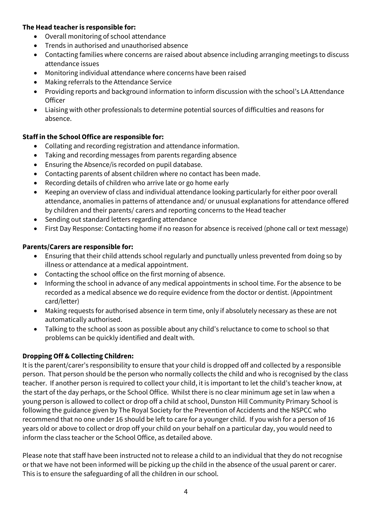## **The Head teacher is responsible for:**

- Overall monitoring of school attendance
- Trends in authorised and unauthorised absence
- Contacting families where concerns are raised about absence including arranging meetings to discuss attendance issues
- Monitoring individual attendance where concerns have been raised
- Making referrals to the Attendance Service
- Providing reports and background information to inform discussion with the school's LA Attendance **Officer**
- Liaising with other professionals to determine potential sources of difficulties and reasons for absence.

## **Staff in the School Office are responsible for:**

- Collating and recording registration and attendance information.
- Taking and recording messages from parents regarding absence
- Ensuring the Absence/is recorded on pupil database.
- Contacting parents of absent children where no contact has been made.
- Recording details of children who arrive late or go home early
- Keeping an overview of class and individual attendance looking particularly for either poor overall attendance, anomalies in patterns of attendance and/ or unusual explanations for attendance offered by children and their parents/ carers and reporting concerns to the Head teacher
- Sending out standard letters regarding attendance
- First Day Response: Contacting home if no reason for absence is received (phone call or text message)

## **Parents/Carers are responsible for:**

- Ensuring that their child attends school regularly and punctually unless prevented from doing so by illness or attendance at a medical appointment.
- Contacting the school office on the first morning of absence.
- Informing the school in advance of any medical appointments in school time. For the absence to be recorded as a medical absence we do require evidence from the doctor or dentist. (Appointment card/letter)
- Making requests for authorised absence in term time, only if absolutely necessary as these are not automatically authorised.
- Talking to the school as soon as possible about any child's reluctance to come to school so that problems can be quickly identified and dealt with.

## **Dropping Off & Collecting Children:**

It is the parent/carer's responsibility to ensure that your child is dropped off and collected by a responsible person. That person should be the person who normally collects the child and who is recognised by the class teacher. If another person is required to collect your child, it is important to let the child's teacher know, at the start of the day perhaps, or the School Office. Whilst there is no clear minimum age set in law when a young person is allowed to collect or drop off a child at school, Dunston Hill Community Primary School is following the guidance given by The Royal Society for the Prevention of Accidents and the NSPCC who recommend that no one under 16 should be left to care for a younger child. If you wish for a person of 16 years old or above to collect or drop off your child on your behalf on a particular day, you would need to inform the class teacher or the School Office, as detailed above.

Please note that staff have been instructed not to release a child to an individual that they do not recognise or that we have not been informed will be picking up the child in the absence of the usual parent or carer. This is to ensure the safeguarding of all the children in our school.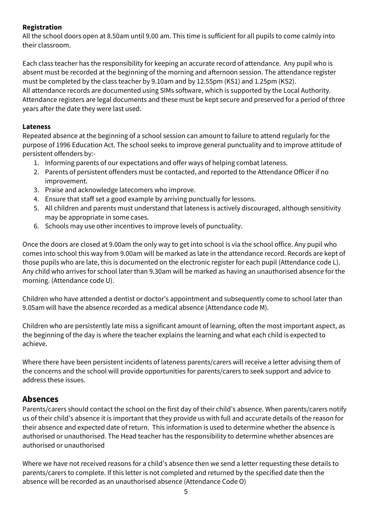## **Registration**

All the school doors open at 8.50am until 9.00 am. This time is sufficient for all pupils to come calmly into their classroom.

Each class teacher has the responsibility for keeping an accurate record of attendance. Any pupil who is absent must be recorded at the beginning of the morning and afternoon session. The attendance register must be completed by the class teacher by 9.10am and by 12.55pm (KS1) and 1.25pm (KS2). All attendance records are documented using SIMs software, which is supported by the Local Authority. Attendance registers are legal documents and these must be kept secure and preserved for a period of three years after the date they were last used.

## **Lateness**

Repeated absence at the beginning of a school session can amount to failure to attend regularly for the purpose of 1996 Education Act. The school seeks to improve general punctuality and to improve attitude of persistent offenders by:-

- 1. Informing parents of our expectations and offer ways of helping combat lateness.
- 2. Parents of persistent offenders must be contacted, and reported to the Attendance Officer if no improvement.
- 3. Praise and acknowledge latecomers who improve.
- 4. Ensure that staff set a good example by arriving punctually for lessons.
- 5. All children and parents must understand that lateness is actively discouraged, although sensitivity may be appropriate in some cases.
- 6. Schools may use other incentives to improve levels of punctuality.

Once the doors are closed at 9.00am the only way to get into school is via the school office. Any pupil who comes into school this way from 9.00am will be marked as late in the attendance record. Records are kept of those pupils who are late, this is documented on the electronic register for each pupil (Attendance code L). Any child who arrives for school later than 9.30am will be marked as having an unauthorised absence for the morning. (Attendance code U).

Children who have attended a dentist or doctor's appointment and subsequently come to school later than 9.05am will have the absence recorded as a medical absence (Attendance code M).

Children who are persistently late miss a significant amount of learning, often the most important aspect, as the beginning of the day is where the teacher explains the learning and what each child is expected to achieve.

Where there have been persistent incidents of lateness parents/carers will receive a letter advising them of the concerns and the school will provide opportunities for parents/carers to seek support and advice to address these issues.

# **Absences**

Parents/carers should contact the school on the first day of their child's absence. When parents/carers notify us of their child's absence it is important that they provide us with full and accurate details of the reason for their absence and expected date of return. This information is used to determine whether the absence is authorised or unauthorised. The Head teacher has the responsibility to determine whether absences are authorised or unauthorised

Where we have not received reasons for a child's absence then we send a letter requesting these details to parents/carers to complete. If this letter is not completed and returned by the specified date then the absence will be recorded as an unauthorised absence (Attendance Code O)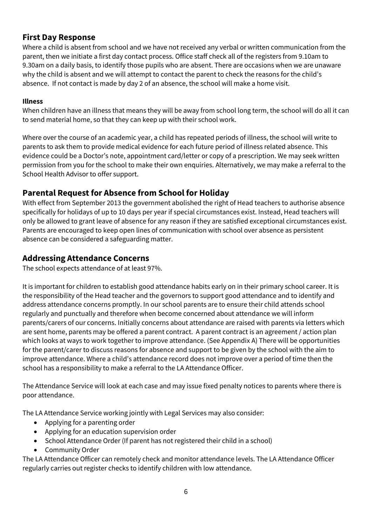# **First Day Response**

Where a child is absent from school and we have not received any verbal or written communication from the parent, then we initiate a first day contact process. Office staff check all of the registers from 9.10am to 9.30am on a daily basis, to identify those pupils who are absent. There are occasions when we are unaware why the child is absent and we will attempt to contact the parent to check the reasons for the child's absence. If not contact is made by day 2 of an absence, the school will make a home visit.

## **Illness**

When children have an illness that means they will be away from school long term, the school will do all it can to send material home, so that they can keep up with their school work.

Where over the course of an academic year, a child has repeated periods of illness, the school will write to parents to ask them to provide medical evidence for each future period of illness related absence. This evidence could be a Doctor's note, appointment card/letter or copy of a prescription. We may seek written permission from you for the school to make their own enquiries. Alternatively, we may make a referral to the School Health Advisor to offer support.

# **Parental Request for Absence from School for Holiday**

With effect from September 2013 the government abolished the right of Head teachers to authorise absence specifically for holidays of up to 10 days per year if special circumstances exist. Instead, Head teachers will only be allowed to grant leave of absence for any reason if they are satisfied exceptional circumstances exist. Parents are encouraged to keep open lines of communication with school over absence as persistent absence can be considered a safeguarding matter.

# **Addressing Attendance Concerns**

The school expects attendance of at least 97%.

It is important for children to establish good attendance habits early on in their primary school career. It is the responsibility of the Head teacher and the governors to support good attendance and to identify and address attendance concerns promptly. In our school parents are to ensure their child attends school regularly and punctually and therefore when become concerned about attendance we will inform parents/carers of our concerns. Initially concerns about attendance are raised with parents via letters which are sent home, parents may be offered a parent contract. A parent contract is an agreement / action plan which looks at ways to work together to improve attendance. (See Appendix A) There will be opportunities for the parent/carer to discuss reasons for absence and support to be given by the school with the aim to improve attendance. Where a child's attendance record does not improve over a period of time then the school has a responsibility to make a referral to the LA Attendance Officer.

The Attendance Service will look at each case and may issue fixed penalty notices to parents where there is poor attendance.

The LA Attendance Service working jointly with Legal Services may also consider:

- Applying for a parenting order
- Applying for an education supervision order
- School Attendance Order (If parent has not registered their child in a school)
- Community Order

The LA Attendance Officer can remotely check and monitor attendance levels. The LA Attendance Officer regularly carries out register checks to identify children with low attendance.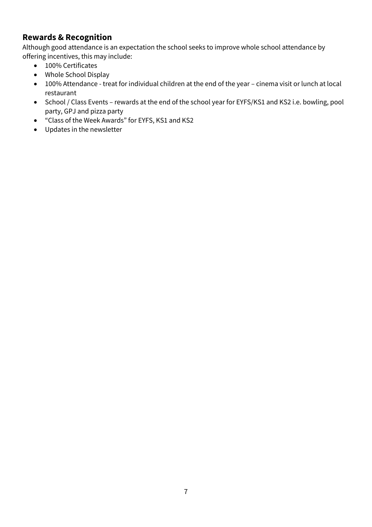# **Rewards & Recognition**

Although good attendance is an expectation the school seeks to improve whole school attendance by offering incentives, this may include:

- 100% Certificates
- Whole School Display
- 100% Attendance treat for individual children at the end of the year cinema visit or lunch at local restaurant
- School / Class Events rewards at the end of the school year for EYFS/KS1 and KS2 i.e. bowling, pool party, GPJ and pizza party
- "Class of the Week Awards" for EYFS, KS1 and KS2
- Updates in the newsletter